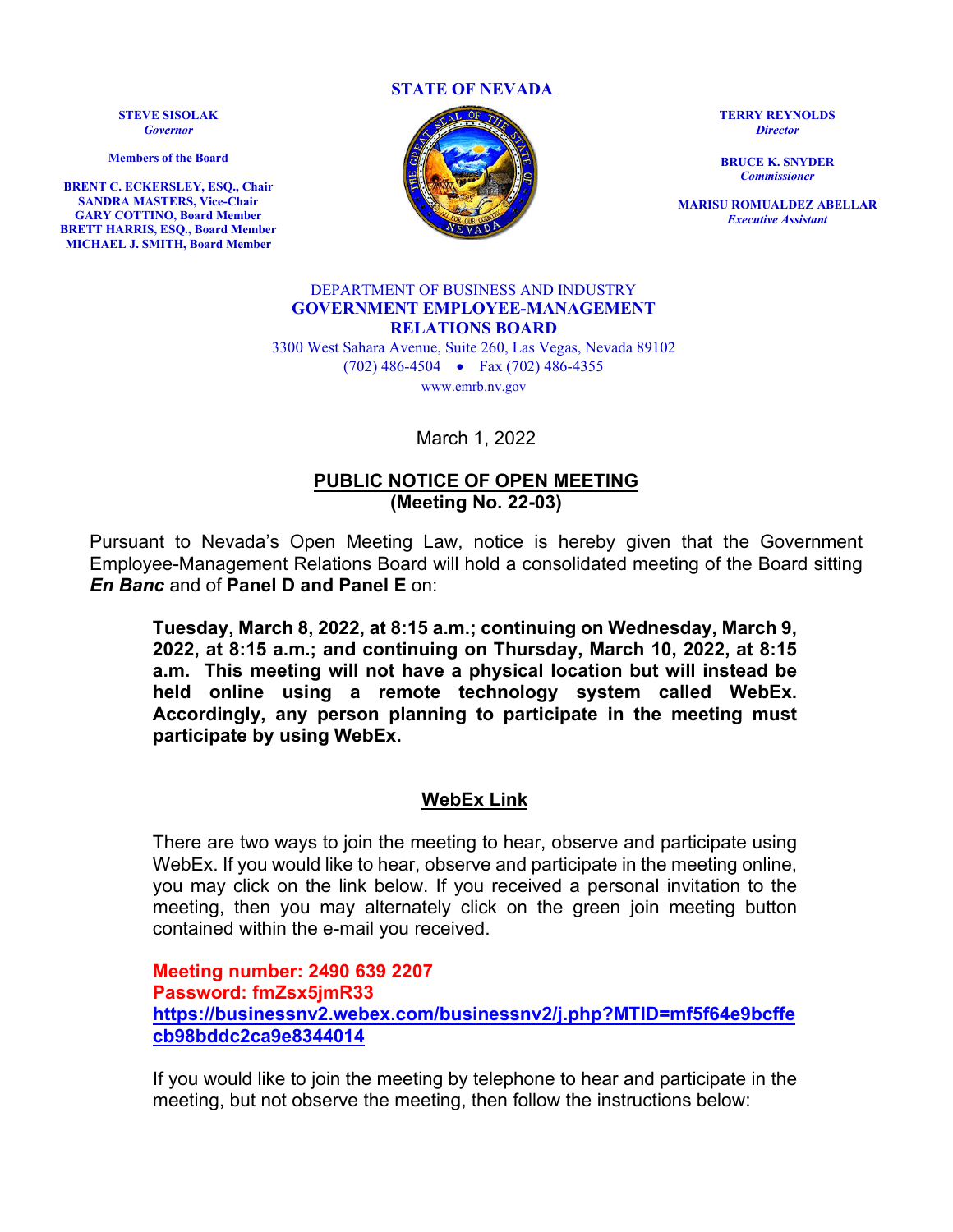**STATE OF NEVADA**

**STEVE SISOLAK** *Governor*

**Members of the Board**

**BRENT C. ECKERSLEY, ESQ., Chair SANDRA MASTERS, Vice-Chair GARY COTTINO, Board Member BRETT HARRIS, ESQ., Board Member MICHAEL J. SMITH, Board Member**



**TERRY REYNOLDS** *Director*

**BRUCE K. SNYDER** *Commissioner*

**MARISU ROMUALDEZ ABELLAR** *Executive Assistant*

### DEPARTMENT OF BUSINESS AND INDUSTRY **GOVERNMENT EMPLOYEE-MANAGEMENT RELATIONS BOARD**

3300 West Sahara Avenue, Suite 260, Las Vegas, Nevada 89102 (702) 486-4504 • Fax (702) 486-4355 www.emrb.nv.gov

March 1, 2022

# **PUBLIC NOTICE OF OPEN MEETING (Meeting No. 22-03)**

Pursuant to Nevada's Open Meeting Law, notice is hereby given that the Government Employee-Management Relations Board will hold a consolidated meeting of the Board sitting *En Banc* and of **Panel D and Panel E** on:

**Tuesday, March 8, 2022, at 8:15 a.m.; continuing on Wednesday, March 9, 2022, at 8:15 a.m.; and continuing on Thursday, March 10, 2022, at 8:15 a.m. This meeting will not have a physical location but will instead be held online using a remote technology system called WebEx. Accordingly, any person planning to participate in the meeting must participate by using WebEx.** 

# **WebEx Link**

There are two ways to join the meeting to hear, observe and participate using WebEx. If you would like to hear, observe and participate in the meeting online, you may click on the link below. If you received a personal invitation to the meeting, then you may alternately click on the green join meeting button contained within the e-mail you received.

**Meeting number: 2490 639 2207 Password: fmZsx5jmR33 [https://businessnv2.webex.com/businessnv2/j.php?MTID=mf5f64e9bcffe](https://businessnv2.webex.com/businessnv2/j.php?MTID=mf5f64e9bcffecb98bddc2ca9e8344014) [cb98bddc2ca9e8344014](https://businessnv2.webex.com/businessnv2/j.php?MTID=mf5f64e9bcffecb98bddc2ca9e8344014)**

If you would like to join the meeting by telephone to hear and participate in the meeting, but not observe the meeting, then follow the instructions below: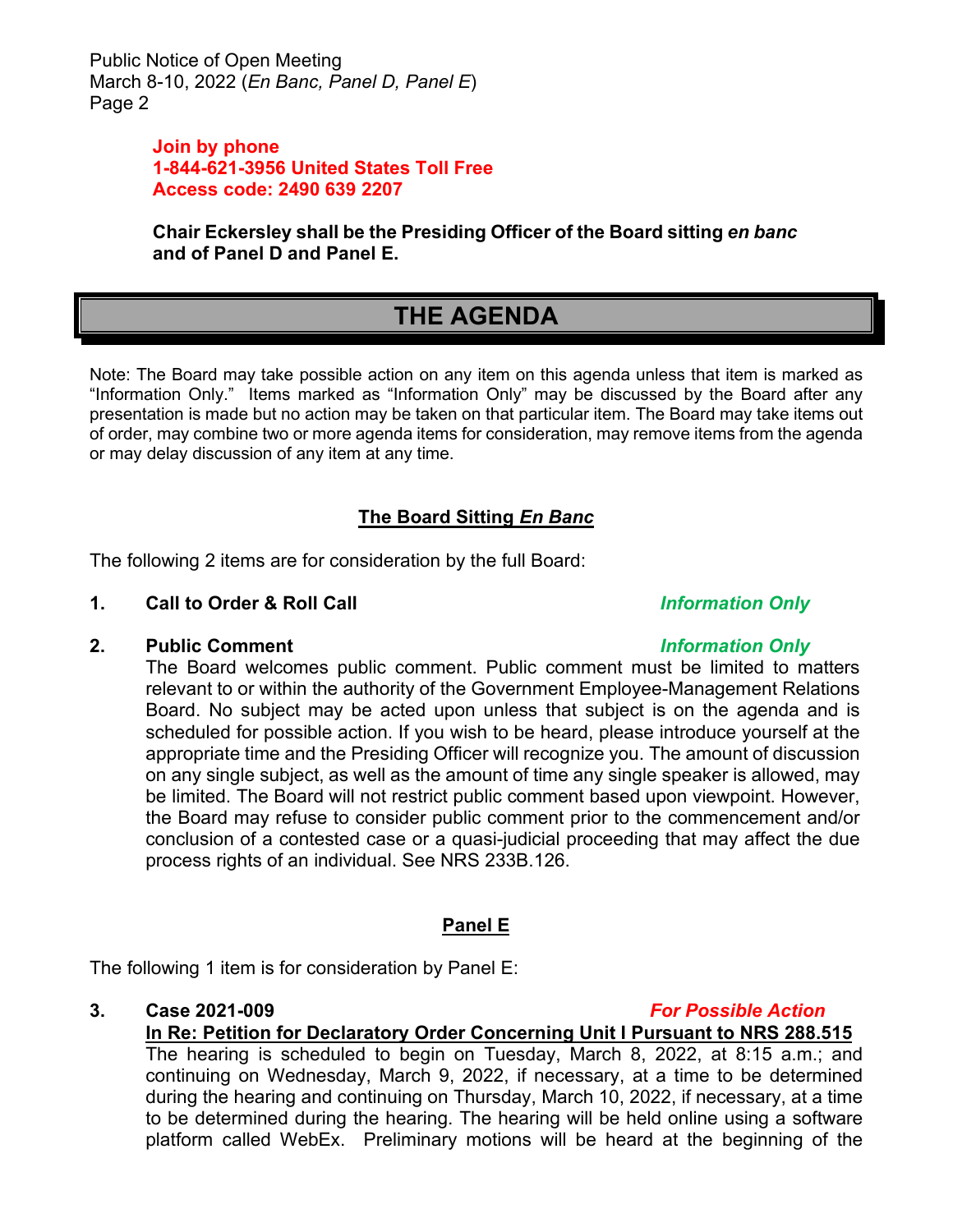Public Notice of Open Meeting March 8-10, 2022 (*En Banc, Panel D, Panel E*) Page 2

# **Join by phone 1-844-621-3956 United States Toll Free Access code: 2490 639 2207**

**Chair Eckersley shall be the Presiding Officer of the Board sitting** *en banc* **and of Panel D and Panel E.**

# **THE AGENDA**

Note: The Board may take possible action on any item on this agenda unless that item is marked as "Information Only." Items marked as "Information Only" may be discussed by the Board after any presentation is made but no action may be taken on that particular item. The Board may take items out of order, may combine two or more agenda items for consideration, may remove items from the agenda or may delay discussion of any item at any time.

# **The Board Sitting** *En Banc*

The following 2 items are for consideration by the full Board:

# **1. Call to Order & Roll Call** *Information Only*

# **2. Public Comment** *Information Only*

The Board welcomes public comment. Public comment must be limited to matters relevant to or within the authority of the Government Employee-Management Relations Board. No subject may be acted upon unless that subject is on the agenda and is scheduled for possible action. If you wish to be heard, please introduce yourself at the appropriate time and the Presiding Officer will recognize you. The amount of discussion on any single subject, as well as the amount of time any single speaker is allowed, may be limited. The Board will not restrict public comment based upon viewpoint. However, the Board may refuse to consider public comment prior to the commencement and/or conclusion of a contested case or a quasi-judicial proceeding that may affect the due process rights of an individual. See NRS 233B.126.

# **Panel E**

The following 1 item is for consideration by Panel E:

# **3. Case 2021-009** *For Possible Action*

**In Re: Petition for Declaratory Order Concerning Unit I Pursuant to NRS 288.515** The hearing is scheduled to begin on Tuesday, March 8, 2022, at 8:15 a.m.; and continuing on Wednesday, March 9, 2022, if necessary, at a time to be determined during the hearing and continuing on Thursday, March 10, 2022, if necessary, at a time to be determined during the hearing. The hearing will be held online using a software platform called WebEx. Preliminary motions will be heard at the beginning of the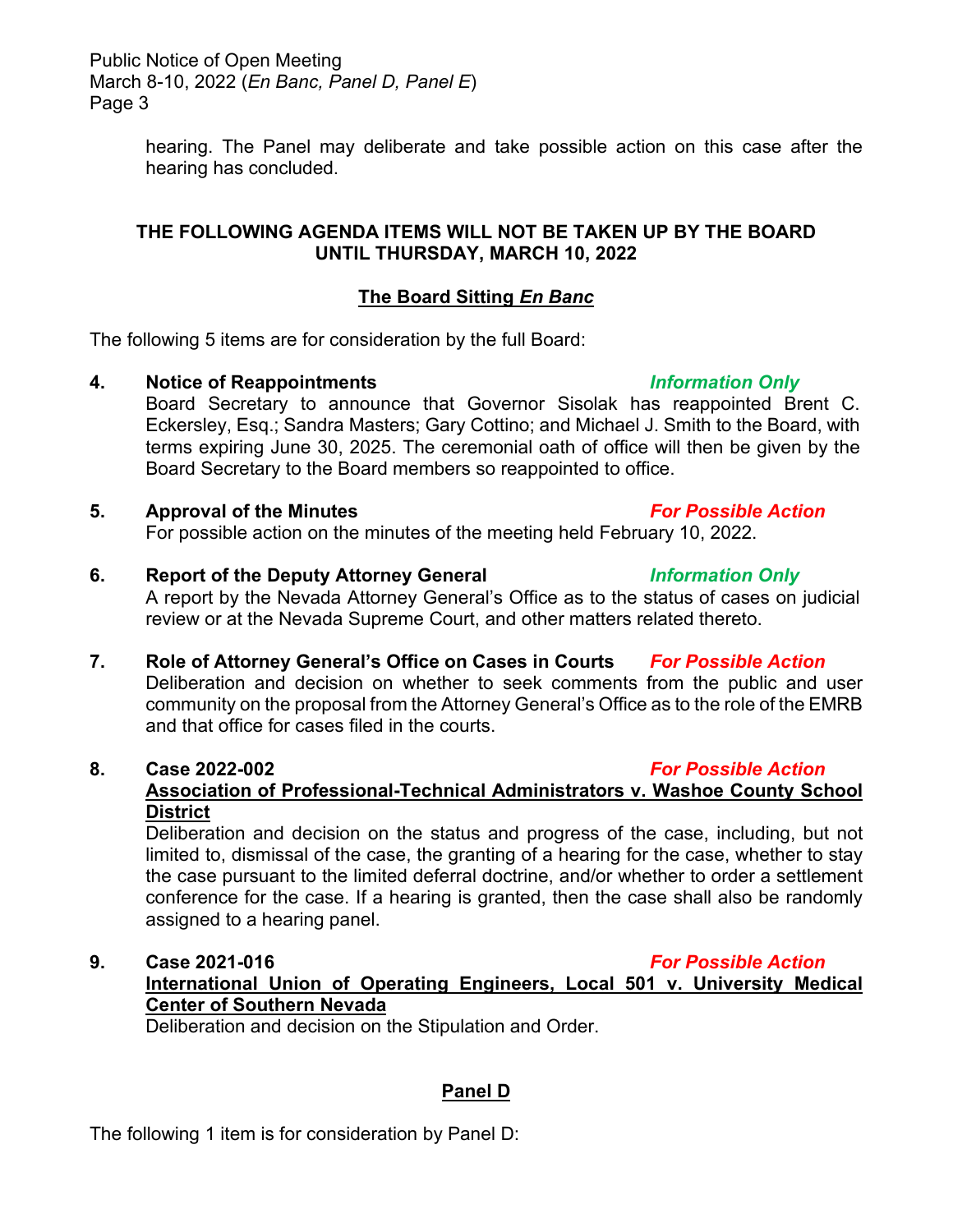Public Notice of Open Meeting March 8-10, 2022 (*En Banc, Panel D, Panel E*) Page 3

> hearing. The Panel may deliberate and take possible action on this case after the hearing has concluded.

# **THE FOLLOWING AGENDA ITEMS WILL NOT BE TAKEN UP BY THE BOARD UNTIL THURSDAY, MARCH 10, 2022**

# **The Board Sitting** *En Banc*

The following 5 items are for consideration by the full Board:

# **4. Notice of Reappointments** *Information Only*

Board Secretary to announce that Governor Sisolak has reappointed Brent C. Eckersley, Esq.; Sandra Masters; Gary Cottino; and Michael J. Smith to the Board, with terms expiring June 30, 2025. The ceremonial oath of office will then be given by the Board Secretary to the Board members so reappointed to office.

# **5. Approval of the Minutes** *For Possible Action* For possible action on the minutes of the meeting held February 10, 2022.

- **6. Report of the Deputy Attorney General** *Information Only* A report by the Nevada Attorney General's Office as to the status of cases on judicial review or at the Nevada Supreme Court, and other matters related thereto.
- **7. Role of Attorney General's Office on Cases in Courts** *For Possible Action* Deliberation and decision on whether to seek comments from the public and user community on the proposal from the Attorney General's Office as to the role of the EMRB and that office for cases filed in the courts.

# **8. Case 2022-002** *For Possible Action*

# **Association of Professional-Technical Administrators v. Washoe County School District**

Deliberation and decision on the status and progress of the case, including, but not limited to, dismissal of the case, the granting of a hearing for the case, whether to stay the case pursuant to the limited deferral doctrine, and/or whether to order a settlement conference for the case. If a hearing is granted, then the case shall also be randomly assigned to a hearing panel.

# **9. Case 2021-016** *For Possible Action* **International Union of Operating Engineers, Local 501 v. University Medical Center of Southern Nevada**

Deliberation and decision on the Stipulation and Order.

# **Panel D**

The following 1 item is for consideration by Panel D: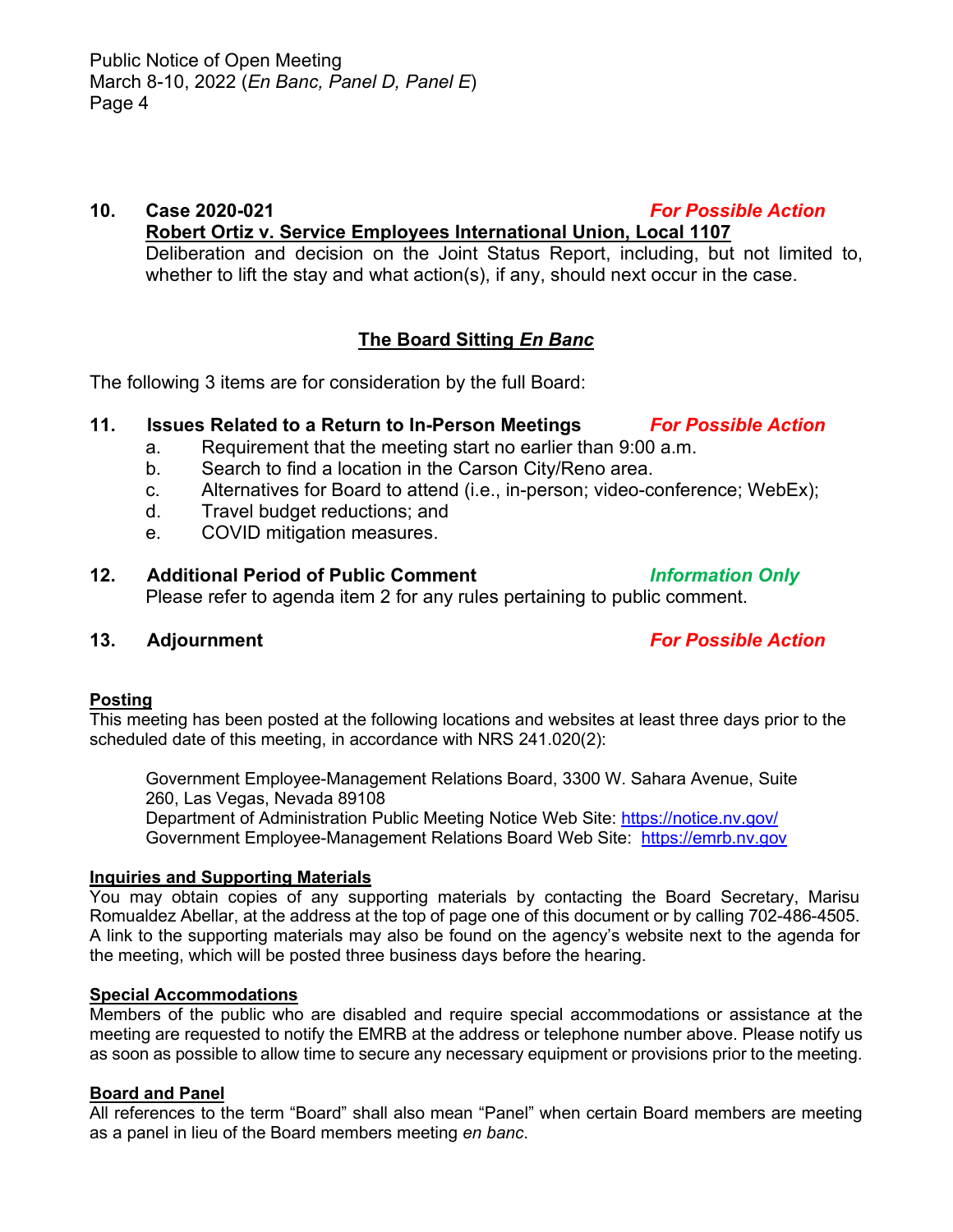# **10. Case 2020-021** *For Possible Action*

**Robert Ortiz v. Service Employees International Union, Local 1107** Deliberation and decision on the Joint Status Report, including, but not limited to,

whether to lift the stay and what action(s), if any, should next occur in the case.

# **The Board Sitting** *En Banc*

The following 3 items are for consideration by the full Board:

# **11. Issues Related to a Return to In-Person Meetings** *For Possible Action*

- a. Requirement that the meeting start no earlier than 9:00 a.m.
- b. Search to find a location in the Carson City/Reno area.
- c. Alternatives for Board to attend (i.e., in-person; video-conference; WebEx);
- d. Travel budget reductions; and
- e. COVID mitigation measures.

# **12. Additional Period of Public Comment** *Information Only*

Please refer to agenda item 2 for any rules pertaining to public comment.

# **13. Adjournment** *For Possible Action*

## **Posting**

This meeting has been posted at the following locations and websites at least three days prior to the scheduled date of this meeting, in accordance with NRS 241.020(2):

Government Employee-Management Relations Board, 3300 W. Sahara Avenue, Suite 260, Las Vegas, Nevada 89108

Department of Administration Public Meeting Notice Web Site:<https://notice.nv.gov/> Government Employee-Management Relations Board Web Site: [https://emrb.nv.gov](https://emrb.nv.gov/)

## **Inquiries and Supporting Materials**

You may obtain copies of any supporting materials by contacting the Board Secretary, Marisu Romualdez Abellar, at the address at the top of page one of this document or by calling 702-486-4505. A link to the supporting materials may also be found on the agency's website next to the agenda for the meeting, which will be posted three business days before the hearing.

## **Special Accommodations**

Members of the public who are disabled and require special accommodations or assistance at the meeting are requested to notify the EMRB at the address or telephone number above. Please notify us as soon as possible to allow time to secure any necessary equipment or provisions prior to the meeting.

## **Board and Panel**

All references to the term "Board" shall also mean "Panel" when certain Board members are meeting as a panel in lieu of the Board members meeting *en banc*.